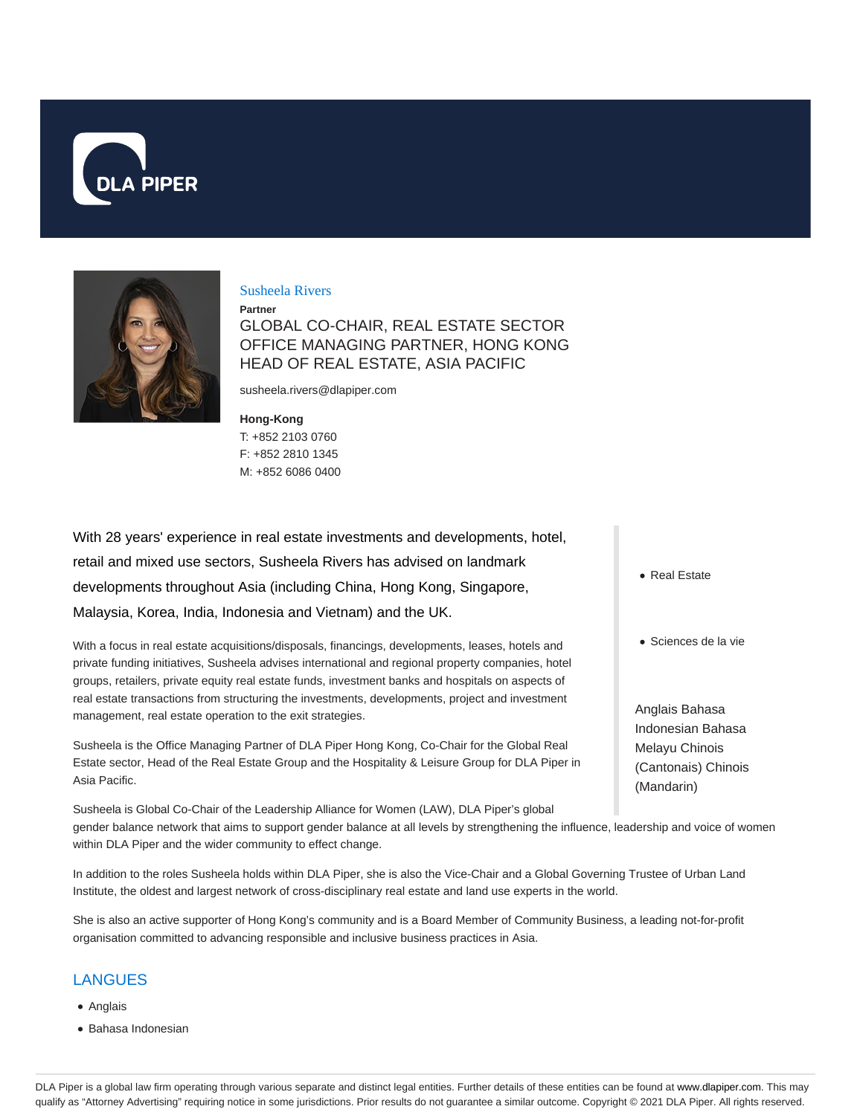



## Susheela Rivers

**Partner**

GLOBAL CO-CHAIR, REAL ESTATE SECTOR OFFICE MANAGING PARTNER, HONG KONG HEAD OF REAL ESTATE, ASIA PACIFIC

susheela.rivers@dlapiper.com

### **Hong-Kong**

T: +852 2103 0760 F: +852 2810 1345 M: +852 6086 0400

With 28 years' experience in real estate investments and developments, hotel, retail and mixed use sectors, Susheela Rivers has advised on landmark developments throughout Asia (including China, Hong Kong, Singapore, Malaysia, Korea, India, Indonesia and Vietnam) and the UK.

With a focus in real estate acquisitions/disposals, financings, developments, leases, hotels and private funding initiatives, Susheela advises international and regional property companies, hotel groups, retailers, private equity real estate funds, investment banks and hospitals on aspects of real estate transactions from structuring the investments, developments, project and investment management, real estate operation to the exit strategies.

Susheela is the Office Managing Partner of DLA Piper Hong Kong, Co-Chair for the Global Real Estate sector, Head of the Real Estate Group and the Hospitality & Leisure Group for DLA Piper in Asia Pacific.

Susheela is Global Co-Chair of the Leadership Alliance for Women (LAW), DLA Piper's global gender balance network that aims to support gender balance at all levels by strengthening the influence, leadership and voice of women within DLA Piper and the wider community to effect change.

In addition to the roles Susheela holds within DLA Piper, she is also the Vice-Chair and a Global Governing Trustee of Urban Land Institute, the oldest and largest network of cross-disciplinary real estate and land use experts in the world.

She is also an active supporter of Hong Kong's community and is a Board Member of Community Business, a leading not-for-profit organisation committed to advancing responsible and inclusive business practices in Asia.

# LANGUES

- Anglais
- Bahasa Indonesian
- Real Estate
- Sciences de la vie

Anglais Bahasa Indonesian Bahasa Melayu Chinois (Cantonais) Chinois (Mandarin)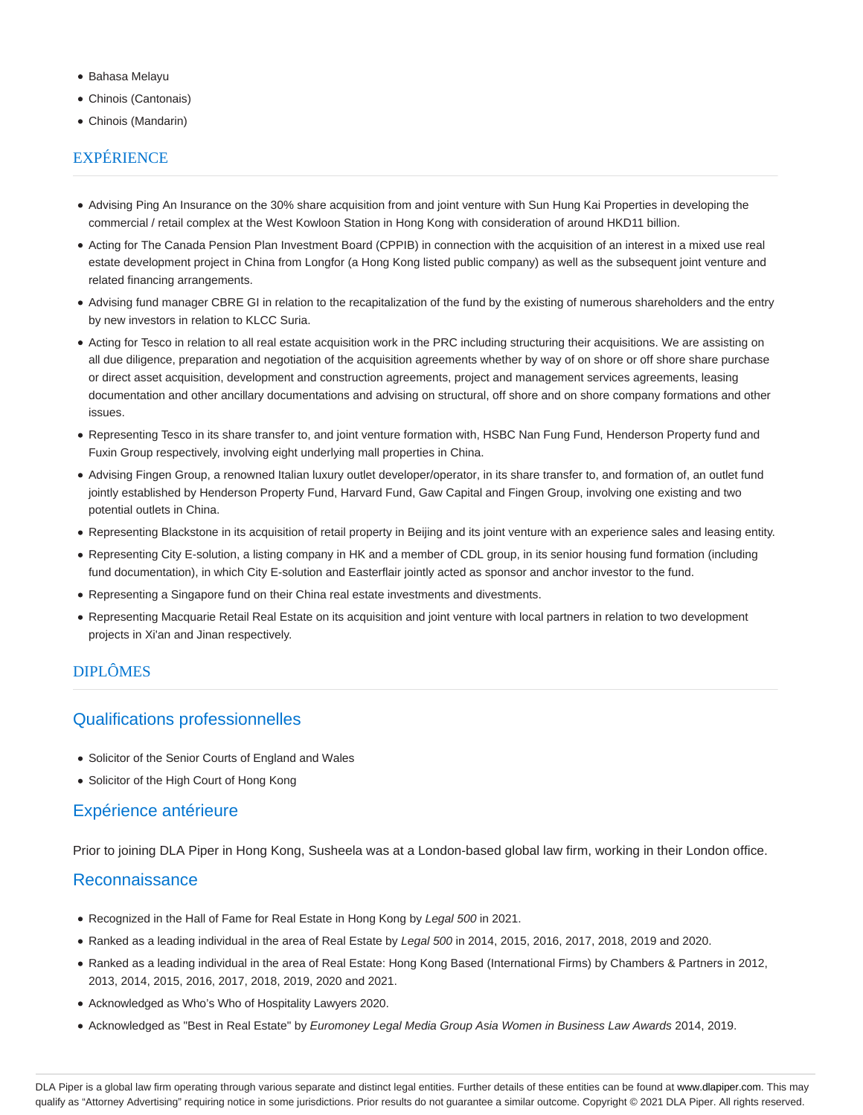- Bahasa Melayu
- Chinois (Cantonais)
- Chinois (Mandarin)

# **EXPÉRIENCE**

- Advising Ping An Insurance on the 30% share acquisition from and joint venture with Sun Hung Kai Properties in developing the commercial / retail complex at the West Kowloon Station in Hong Kong with consideration of around HKD11 billion.
- Acting for The Canada Pension Plan Investment Board (CPPIB) in connection with the acquisition of an interest in a mixed use real estate development project in China from Longfor (a Hong Kong listed public company) as well as the subsequent joint venture and related financing arrangements.
- Advising fund manager CBRE GI in relation to the recapitalization of the fund by the existing of numerous shareholders and the entry by new investors in relation to KLCC Suria.
- Acting for Tesco in relation to all real estate acquisition work in the PRC including structuring their acquisitions. We are assisting on all due diligence, preparation and negotiation of the acquisition agreements whether by way of on shore or off shore share purchase or direct asset acquisition, development and construction agreements, project and management services agreements, leasing documentation and other ancillary documentations and advising on structural, off shore and on shore company formations and other issues.
- Representing Tesco in its share transfer to, and joint venture formation with, HSBC Nan Fung Fund, Henderson Property fund and Fuxin Group respectively, involving eight underlying mall properties in China.
- Advising Fingen Group, a renowned Italian luxury outlet developer/operator, in its share transfer to, and formation of, an outlet fund jointly established by Henderson Property Fund, Harvard Fund, Gaw Capital and Fingen Group, involving one existing and two potential outlets in China.
- Representing Blackstone in its acquisition of retail property in Beijing and its joint venture with an experience sales and leasing entity.
- Representing City E-solution, a listing company in HK and a member of CDL group, in its senior housing fund formation (including fund documentation), in which City E-solution and Easterflair jointly acted as sponsor and anchor investor to the fund.
- Representing a Singapore fund on their China real estate investments and divestments.
- Representing Macquarie Retail Real Estate on its acquisition and joint venture with local partners in relation to two development projects in Xi'an and Jinan respectively.

# DIPLÔMES

# Qualifications professionnelles

- Solicitor of the Senior Courts of England and Wales
- Solicitor of the High Court of Hong Kong

# Expérience antérieure

Prior to joining DLA Piper in Hong Kong, Susheela was at a London-based global law firm, working in their London office.

# **Reconnaissance**

- Recognized in the Hall of Fame for Real Estate in Hong Kong by Legal 500 in 2021.
- Ranked as a leading individual in the area of Real Estate by Legal 500 in 2014, 2015, 2016, 2017, 2018, 2019 and 2020.
- Ranked as a leading individual in the area of Real Estate: Hong Kong Based (International Firms) by Chambers & Partners in 2012, 2013, 2014, 2015, 2016, 2017, 2018, 2019, 2020 and 2021.
- Acknowledged as Who's Who of Hospitality Lawyers 2020.
- Acknowledged as "Best in Real Estate" by Euromoney Legal Media Group Asia Women in Business Law Awards 2014, 2019.